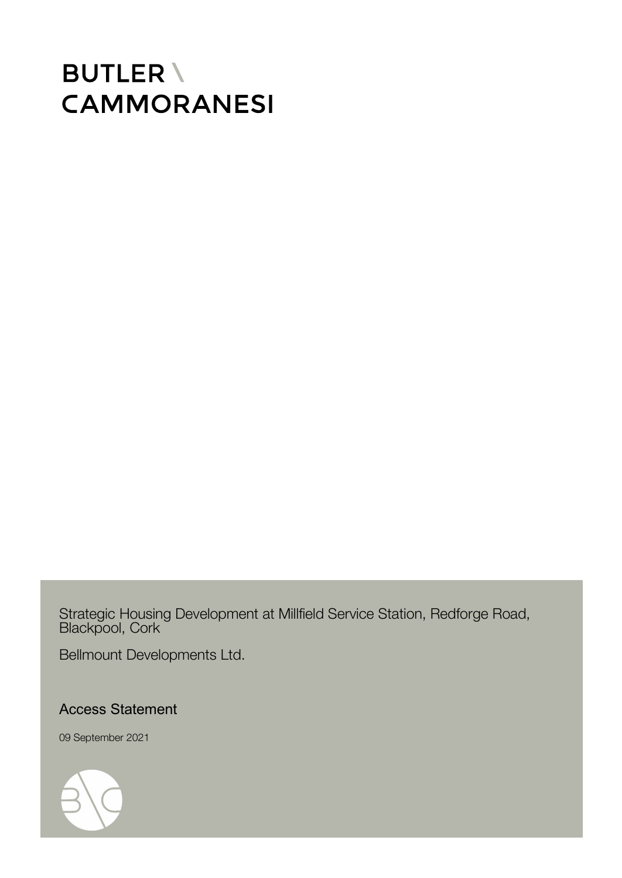# **BUTLER CAMMORANESI**

Strategic Housing Development at Millfield Service Station, Redforge Road, Blackpool, Cork

Bellmount Developments Ltd.

Access Statement

09 September 2021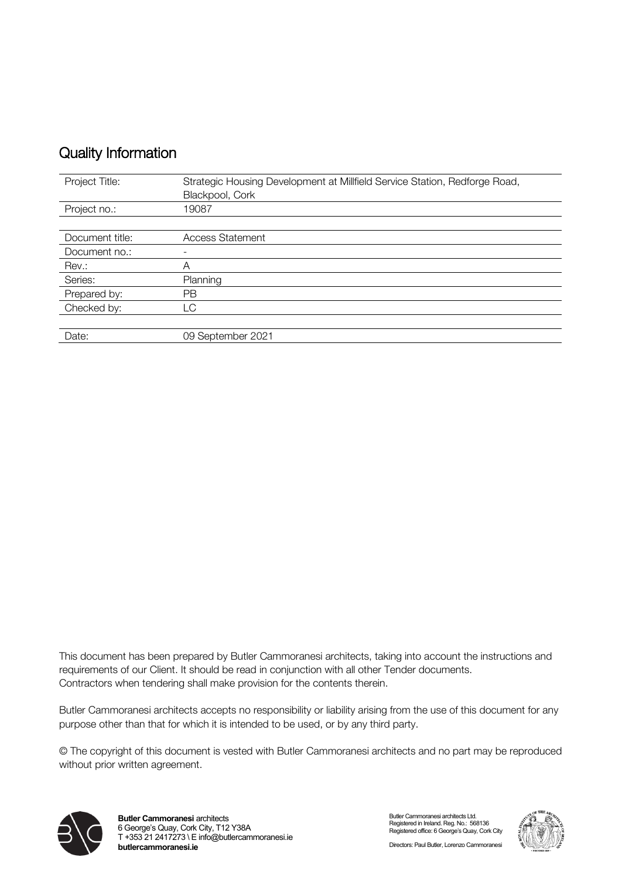# Quality Information

| Project Title:  | Strategic Housing Development at Millfield Service Station, Redforge Road, |  |  |
|-----------------|----------------------------------------------------------------------------|--|--|
|                 | Blackpool, Cork                                                            |  |  |
| Project no.:    | 19087                                                                      |  |  |
|                 |                                                                            |  |  |
| Document title: | <b>Access Statement</b>                                                    |  |  |
| Document no.:   |                                                                            |  |  |
| Rev.:           | А                                                                          |  |  |
| Series:         | Planning                                                                   |  |  |
| Prepared by:    | <b>PB</b>                                                                  |  |  |
| Checked by:     | LC                                                                         |  |  |
|                 |                                                                            |  |  |
| Date:           | 09 September 2021                                                          |  |  |

This document has been prepared by Butler Cammoranesi architects, taking into account the instructions and requirements of our Client. It should be read in conjunction with all other Tender documents. Contractors when tendering shall make provision for the contents therein.

Butler Cammoranesi architects accepts no responsibility or liability arising from the use of this document for any purpose other than that for which it is intended to be used, or by any third party.

© The copyright of this document is vested with Butler Cammoranesi architects and no part may be reproduced without prior written agreement.



Butler Cammoranesi architects Ltd. Registered in Ireland. Reg. No.: 568136 Registered office: 6 George's Quay, Cork City

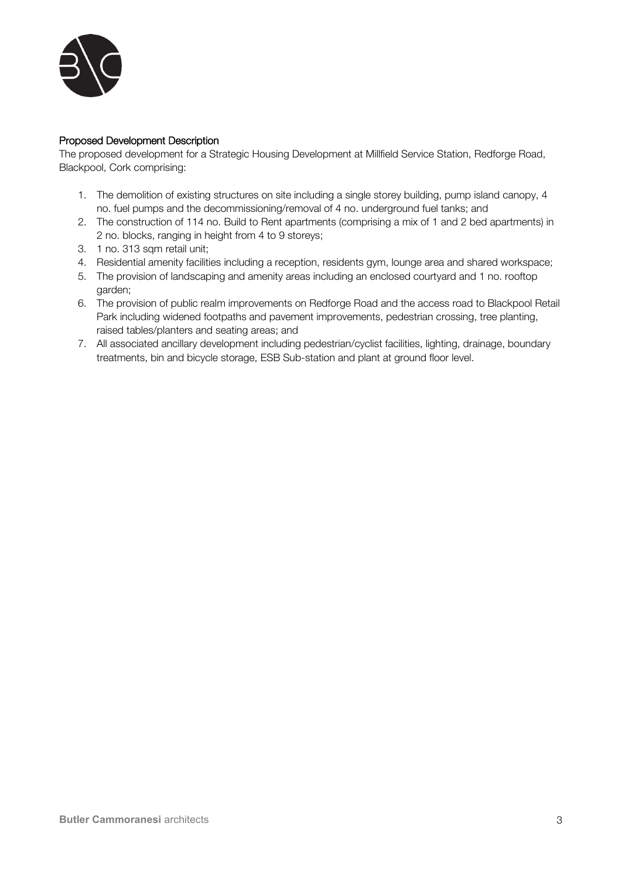

### Proposed Development Description

The proposed development for a Strategic Housing Development at Millfield Service Station, Redforge Road, Blackpool, Cork comprising:

- 1. The demolition of existing structures on site including a single storey building, pump island canopy, 4 no. fuel pumps and the decommissioning/removal of 4 no. underground fuel tanks; and
- 2. The construction of 114 no. Build to Rent apartments (comprising a mix of 1 and 2 bed apartments) in 2 no. blocks, ranging in height from 4 to 9 storeys;
- 3. 1 no. 313 sqm retail unit;
- 4. Residential amenity facilities including a reception, residents gym, lounge area and shared workspace;
- 5. The provision of landscaping and amenity areas including an enclosed courtyard and 1 no. rooftop garden;
- 6. The provision of public realm improvements on Redforge Road and the access road to Blackpool Retail Park including widened footpaths and pavement improvements, pedestrian crossing, tree planting, raised tables/planters and seating areas; and
- 7. All associated ancillary development including pedestrian/cyclist facilities, lighting, drainage, boundary treatments, bin and bicycle storage, ESB Sub-station and plant at ground floor level.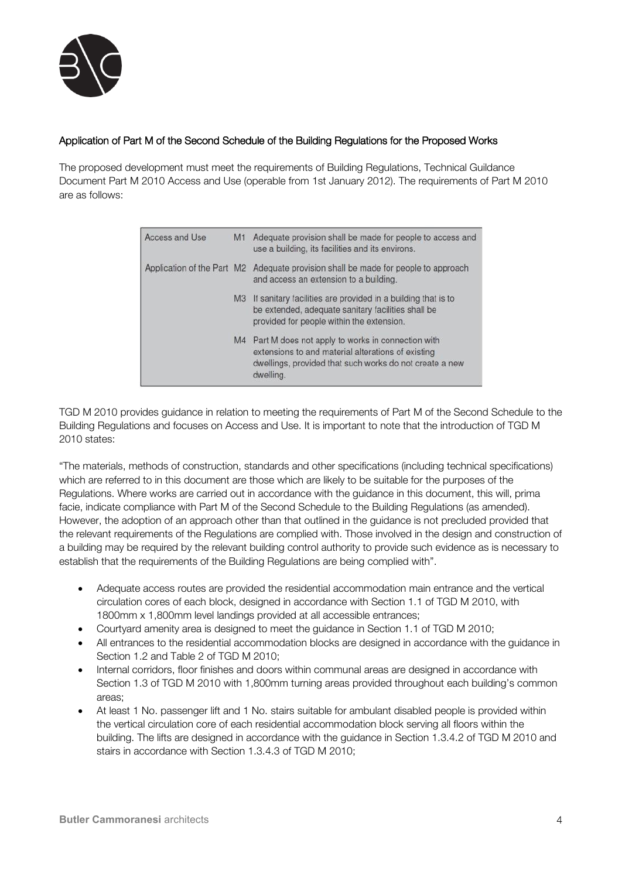

## Application of Part M of the Second Schedule of the Building Regulations for the Proposed Works

The proposed development must meet the requirements of Building Regulations, Technical Guildance Document Part M 2010 Access and Use (operable from 1st January 2012). The requirements of Part M 2010 are as follows:

| Access and Use | M1             | Adequate provision shall be made for people to access and<br>use a building, its facilities and its environs.                                                                      |
|----------------|----------------|------------------------------------------------------------------------------------------------------------------------------------------------------------------------------------|
|                |                | Application of the Part M2 Adequate provision shall be made for people to approach<br>and access an extension to a building.                                                       |
|                | M <sub>3</sub> | If sanitary facilities are provided in a building that is to<br>be extended, adequate sanitary facilities shall be<br>provided for people within the extension.                    |
|                |                | M4 Part M does not apply to works in connection with<br>extensions to and material alterations of existing<br>dwellings, provided that such works do not create a new<br>dwelling. |

TGD M 2010 provides guidance in relation to meeting the requirements of Part M of the Second Schedule to the Building Regulations and focuses on Access and Use. It is important to note that the introduction of TGD M 2010 states:

"The materials, methods of construction, standards and other specifications (including technical specifications) which are referred to in this document are those which are likely to be suitable for the purposes of the Regulations. Where works are carried out in accordance with the guidance in this document, this will, prima facie, indicate compliance with Part M of the Second Schedule to the Building Regulations (as amended). However, the adoption of an approach other than that outlined in the guidance is not precluded provided that the relevant requirements of the Regulations are complied with. Those involved in the design and construction of a building may be required by the relevant building control authority to provide such evidence as is necessary to establish that the requirements of the Building Regulations are being complied with".

- Adequate access routes are provided the residential accommodation main entrance and the vertical circulation cores of each block, designed in accordance with Section 1.1 of TGD M 2010, with 1800mm x 1,800mm level landings provided at all accessible entrances;
- Courtyard amenity area is designed to meet the guidance in Section 1.1 of TGD M 2010;
- All entrances to the residential accommodation blocks are designed in accordance with the guidance in Section 1.2 and Table 2 of TGD M 2010;
- Internal corridors, floor finishes and doors within communal areas are designed in accordance with Section 1.3 of TGD M 2010 with 1,800mm turning areas provided throughout each building's common areas;
- At least 1 No. passenger lift and 1 No. stairs suitable for ambulant disabled people is provided within the vertical circulation core of each residential accommodation block serving all floors within the building. The lifts are designed in accordance with the guidance in Section 1.3.4.2 of TGD M 2010 and stairs in accordance with Section 1.3.4.3 of TGD M 2010;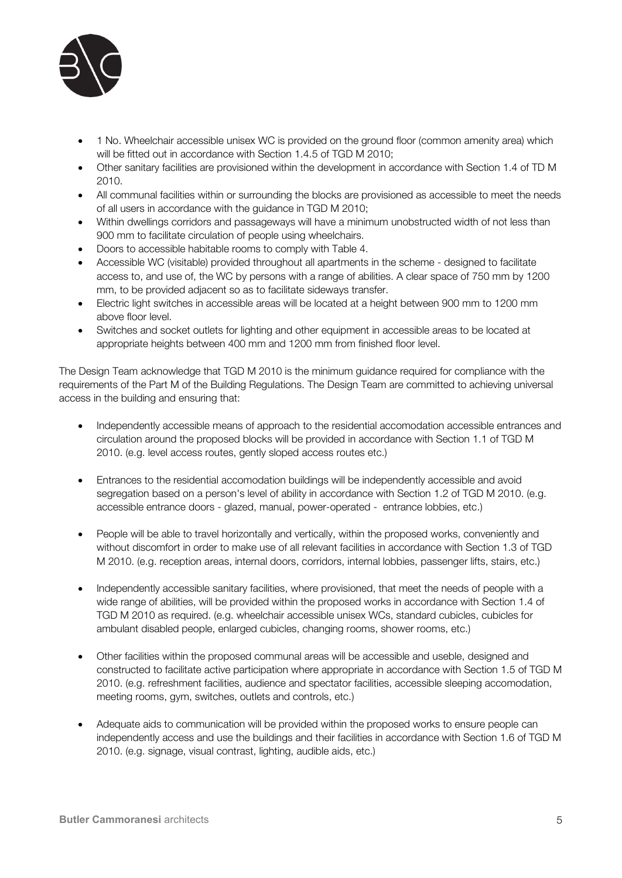

- 1 No. Wheelchair accessible unisex WC is provided on the ground floor (common amenity area) which will be fitted out in accordance with Section 1.4.5 of TGD M 2010;
- Other sanitary facilities are provisioned within the development in accordance with Section 1.4 of TD M 2010.
- All communal facilities within or surrounding the blocks are provisioned as accessible to meet the needs of all users in accordance with the guidance in TGD M 2010;
- Within dwellings corridors and passageways will have a minimum unobstructed width of not less than 900 mm to facilitate circulation of people using wheelchairs.
- Doors to accessible habitable rooms to comply with Table 4.
- Accessible WC (visitable) provided throughout all apartments in the scheme designed to facilitate access to, and use of, the WC by persons with a range of abilities. A clear space of 750 mm by 1200 mm, to be provided adjacent so as to facilitate sideways transfer.
- Electric light switches in accessible areas will be located at a height between 900 mm to 1200 mm above floor level.
- Switches and socket outlets for lighting and other equipment in accessible areas to be located at appropriate heights between 400 mm and 1200 mm from finished floor level.

The Design Team acknowledge that TGD M 2010 is the minimum guidance required for compliance with the requirements of the Part M of the Building Regulations. The Design Team are committed to achieving universal access in the building and ensuring that:

- Independently accessible means of approach to the residential accomodation accessible entrances and circulation around the proposed blocks will be provided in accordance with Section 1.1 of TGD M 2010. (e.g. level access routes, gently sloped access routes etc.)
- Entrances to the residential accomodation buildings will be independently accessible and avoid segregation based on a person's level of ability in accordance with Section 1.2 of TGD M 2010. (e.g. accessible entrance doors - glazed, manual, power-operated - entrance lobbies, etc.)
- People will be able to travel horizontally and vertically, within the proposed works, conveniently and without discomfort in order to make use of all relevant facilities in accordance with Section 1.3 of TGD M 2010. (e.g. reception areas, internal doors, corridors, internal lobbies, passenger lifts, stairs, etc.)
- Independently accessible sanitary facilities, where provisioned, that meet the needs of people with a wide range of abilities, will be provided within the proposed works in accordance with Section 1.4 of TGD M 2010 as required. (e.g. wheelchair accessible unisex WCs, standard cubicles, cubicles for ambulant disabled people, enlarged cubicles, changing rooms, shower rooms, etc.)
- Other facilities within the proposed communal areas will be accessible and useble, designed and constructed to facilitate active participation where appropriate in accordance with Section 1.5 of TGD M 2010. (e.g. refreshment facilities, audience and spectator facilities, accessible sleeping accomodation, meeting rooms, gym, switches, outlets and controls, etc.)
- Adequate aids to communication will be provided within the proposed works to ensure people can independently access and use the buildings and their facilities in accordance with Section 1.6 of TGD M 2010. (e.g. signage, visual contrast, lighting, audible aids, etc.)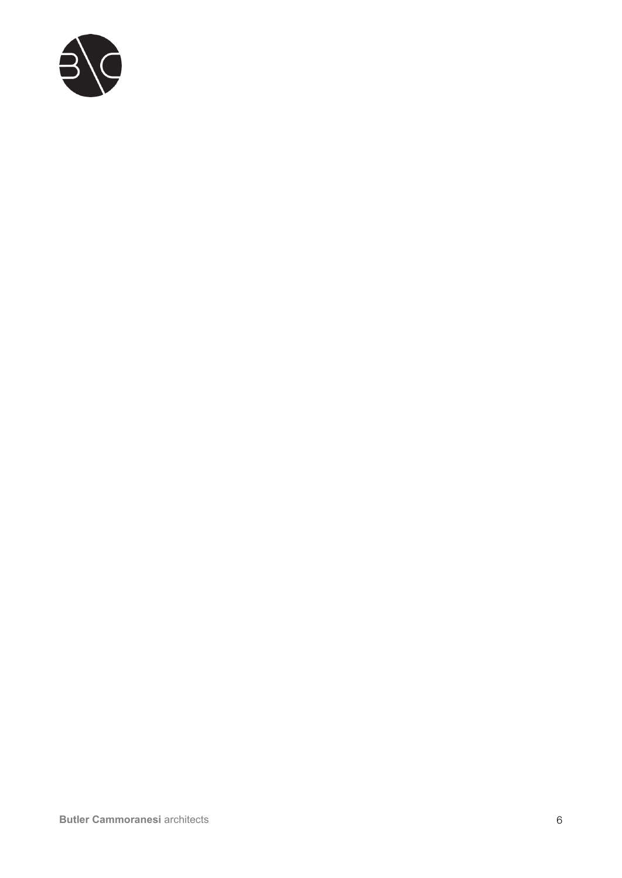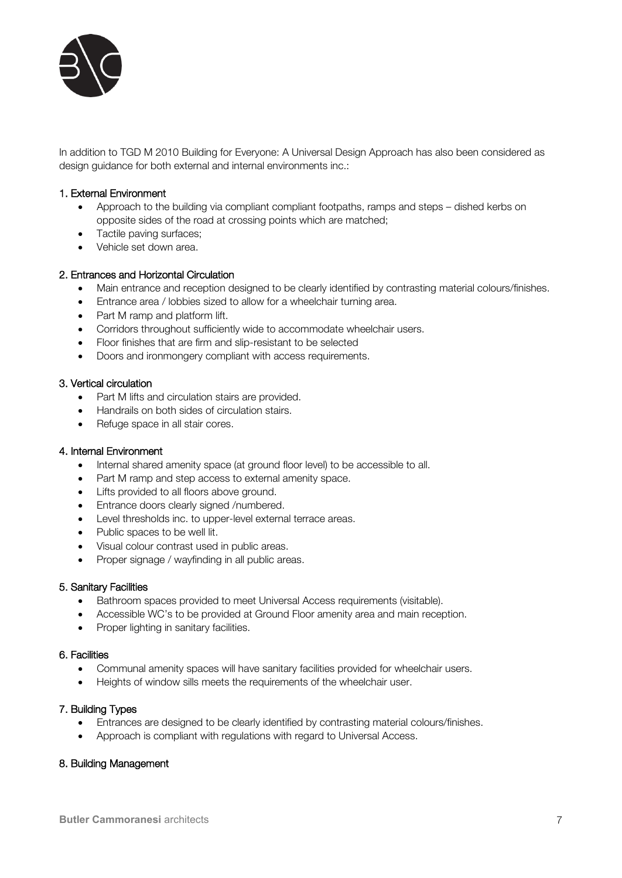

In addition to TGD M 2010 Building for Everyone: A Universal Design Approach has also been considered as design guidance for both external and internal environments inc.:

#### 1. External Environment

- Approach to the building via compliant compliant footpaths, ramps and steps dished kerbs on opposite sides of the road at crossing points which are matched;
- Tactile paving surfaces;
- Vehicle set down area.

#### 2. Entrances and Horizontal Circulation

- Main entrance and reception designed to be clearly identified by contrasting material colours/finishes.
	- Entrance area / lobbies sized to allow for a wheelchair turning area.
	- Part M ramp and platform lift.
- Corridors throughout sufficiently wide to accommodate wheelchair users.
- Floor finishes that are firm and slip-resistant to be selected
- Doors and ironmongery compliant with access requirements.

#### 3. Vertical circulation

- Part M lifts and circulation stairs are provided.
- Handrails on both sides of circulation stairs.
- Refuge space in all stair cores.

#### 4. Internal Environment

- Internal shared amenity space (at ground floor level) to be accessible to all.
- Part M ramp and step access to external amenity space.
- Lifts provided to all floors above ground.
- Entrance doors clearly signed /numbered.
- Level thresholds inc. to upper-level external terrace areas.
- Public spaces to be well lit.
- Visual colour contrast used in public areas.
- Proper signage / wayfinding in all public areas.

#### 5. Sanitary Facilities

- Bathroom spaces provided to meet Universal Access requirements (visitable).
- Accessible WC's to be provided at Ground Floor amenity area and main reception.
- Proper lighting in sanitary facilities.

#### 6. Facilities

- Communal amenity spaces will have sanitary facilities provided for wheelchair users.
- Heights of window sills meets the requirements of the wheelchair user.

#### 7. Building Types

- Entrances are designed to be clearly identified by contrasting material colours/finishes.
- Approach is compliant with regulations with regard to Universal Access.

#### 8. Building Management